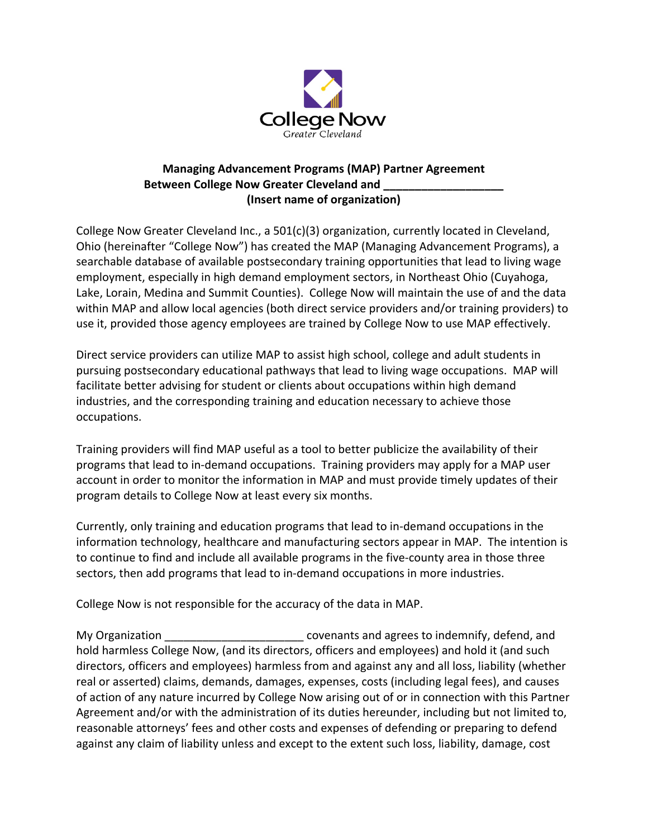

## **Managing Advancement Programs (MAP) Partner Agreement Between College Now Greater Cleveland and \_\_\_\_\_\_\_\_\_\_\_\_\_\_\_\_\_\_\_ (Insert name of organization)**

College Now Greater Cleveland Inc., a 501(c)(3) organization, currently located in Cleveland, Ohio (hereinafter "College Now") has created the MAP (Managing Advancement Programs), a searchable database of available postsecondary training opportunities that lead to living wage employment, especially in high demand employment sectors, in Northeast Ohio (Cuyahoga, Lake, Lorain, Medina and Summit Counties). College Now will maintain the use of and the data within MAP and allow local agencies (both direct service providers and/or training providers) to use it, provided those agency employees are trained by College Now to use MAP effectively.

Direct service providers can utilize MAP to assist high school, college and adult students in pursuing postsecondary educational pathways that lead to living wage occupations. MAP will facilitate better advising for student or clients about occupations within high demand industries, and the corresponding training and education necessary to achieve those occupations.

Training providers will find MAP useful as a tool to better publicize the availability of their programs that lead to in-demand occupations. Training providers may apply for a MAP user account in order to monitor the information in MAP and must provide timely updates of their program details to College Now at least every six months.

Currently, only training and education programs that lead to in-demand occupations in the information technology, healthcare and manufacturing sectors appear in MAP. The intention is to continue to find and include all available programs in the five-county area in those three sectors, then add programs that lead to in-demand occupations in more industries.

College Now is not responsible for the accuracy of the data in MAP.

My Organization \_\_\_\_\_\_\_\_\_\_\_\_\_\_\_\_\_\_\_\_\_\_\_\_\_\_\_ covenants and agrees to indemnify, defend, and hold harmless College Now, (and its directors, officers and employees) and hold it (and such directors, officers and employees) harmless from and against any and all loss, liability (whether real or asserted) claims, demands, damages, expenses, costs (including legal fees), and causes of action of any nature incurred by College Now arising out of or in connection with this Partner Agreement and/or with the administration of its duties hereunder, including but not limited to, reasonable attorneys' fees and other costs and expenses of defending or preparing to defend against any claim of liability unless and except to the extent such loss, liability, damage, cost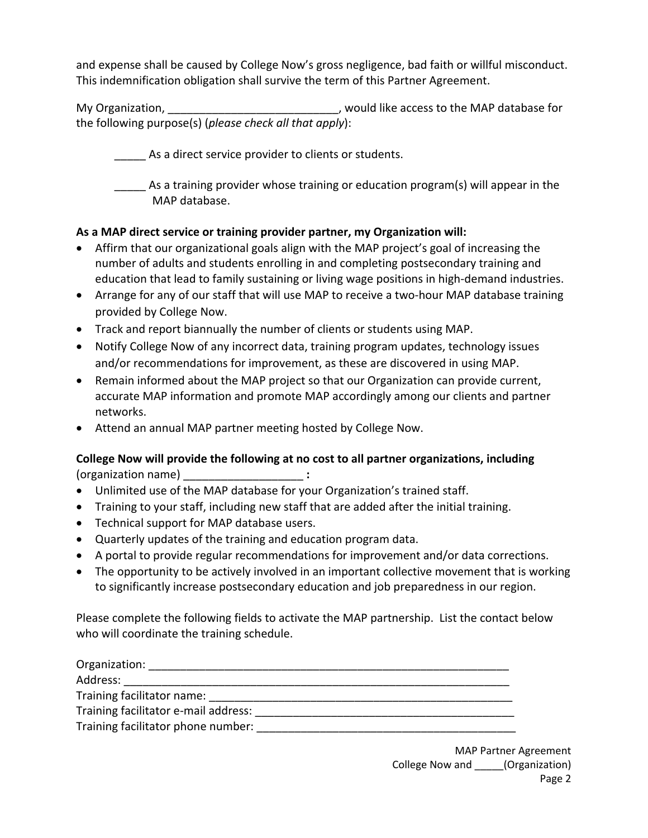and expense shall be caused by College Now's gross negligence, bad faith or willful misconduct. This indemnification obligation shall survive the term of this Partner Agreement.

My Organization, The Mateus of the MAP database for  $\blacksquare$ , would like access to the MAP database for the following purpose(s) (*please check all that apply*):

\_\_\_\_\_ As a direct service provider to clients or students.

\_\_\_\_\_ As a training provider whose training or education program(s) will appear in the MAP database.

## **As a MAP direct service or training provider partner, my Organization will:**

- Affirm that our organizational goals align with the MAP project's goal of increasing the number of adults and students enrolling in and completing postsecondary training and education that lead to family sustaining or living wage positions in high-demand industries.
- Arrange for any of our staff that will use MAP to receive a two-hour MAP database training provided by College Now.
- Track and report biannually the number of clients or students using MAP.
- Notify College Now of any incorrect data, training program updates, technology issues and/or recommendations for improvement, as these are discovered in using MAP.
- Remain informed about the MAP project so that our Organization can provide current, accurate MAP information and promote MAP accordingly among our clients and partner networks.
- Attend an annual MAP partner meeting hosted by College Now.

## **College Now will provide the following at no cost to all partner organizations, including**  (organization name) \_\_\_\_\_\_\_\_\_\_\_\_\_\_\_\_\_\_\_ **:**

- Unlimited use of the MAP database for your Organization's trained staff.
- Training to your staff, including new staff that are added after the initial training.
- Technical support for MAP database users.
- Quarterly updates of the training and education program data.
- A portal to provide regular recommendations for improvement and/or data corrections.
- The opportunity to be actively involved in an important collective movement that is working to significantly increase postsecondary education and job preparedness in our region.

Please complete the following fields to activate the MAP partnership. List the contact below who will coordinate the training schedule.

| Organization:                        |  |
|--------------------------------------|--|
| Address:                             |  |
| Training facilitator name:           |  |
| Training facilitator e-mail address: |  |
| Training facilitator phone number:   |  |

MAP Partner Agreement College Now and \_\_\_\_\_(Organization) Page 2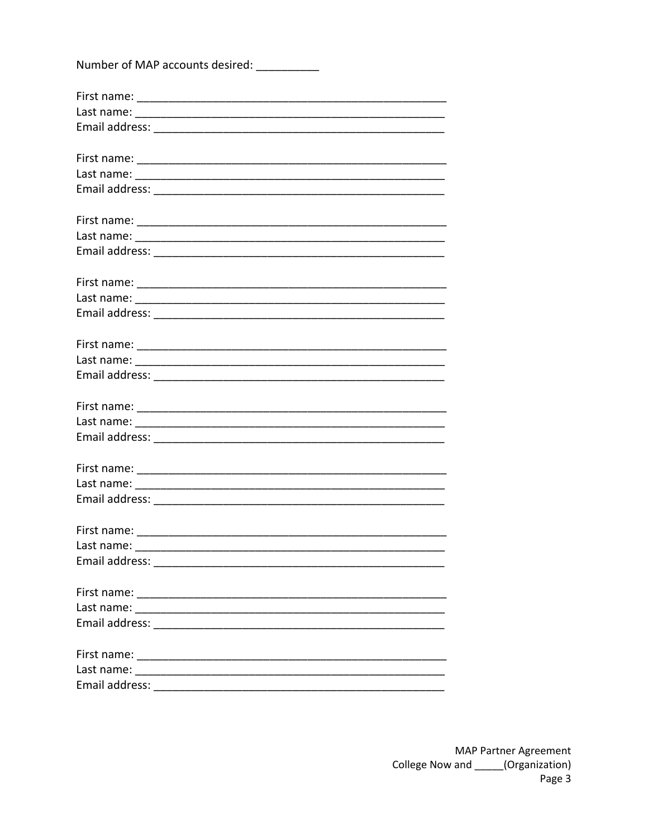| Number of MAP accounts desired: __________ |  |
|--------------------------------------------|--|
|                                            |  |
|                                            |  |
|                                            |  |
|                                            |  |
|                                            |  |
|                                            |  |
|                                            |  |
|                                            |  |
|                                            |  |
|                                            |  |
|                                            |  |
|                                            |  |
|                                            |  |
|                                            |  |
|                                            |  |
|                                            |  |
|                                            |  |
|                                            |  |
|                                            |  |
|                                            |  |
|                                            |  |
| First name:                                |  |
|                                            |  |
|                                            |  |
|                                            |  |
|                                            |  |
|                                            |  |
|                                            |  |
|                                            |  |
| Email address:                             |  |